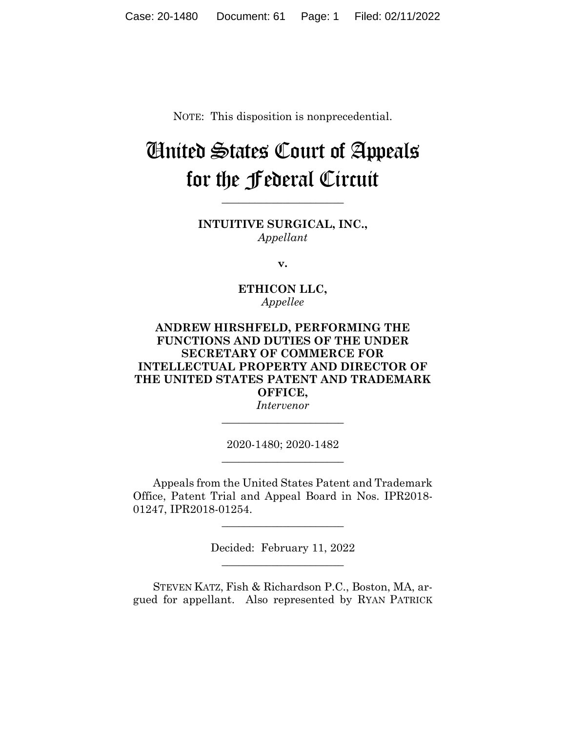NOTE: This disposition is nonprecedential.

# United States Court of Appeals for the Federal Circuit

**INTUITIVE SURGICAL, INC.,** *Appellant*

**\_\_\_\_\_\_\_\_\_\_\_\_\_\_\_\_\_\_\_\_\_\_** 

**v.**

**ETHICON LLC,** *Appellee*

## **ANDREW HIRSHFELD, PERFORMING THE FUNCTIONS AND DUTIES OF THE UNDER SECRETARY OF COMMERCE FOR INTELLECTUAL PROPERTY AND DIRECTOR OF THE UNITED STATES PATENT AND TRADEMARK OFFICE,**

*Intervenor* **\_\_\_\_\_\_\_\_\_\_\_\_\_\_\_\_\_\_\_\_\_\_** 

2020-1480; 2020-1482 **\_\_\_\_\_\_\_\_\_\_\_\_\_\_\_\_\_\_\_\_\_\_** 

Appeals from the United States Patent and Trademark Office, Patent Trial and Appeal Board in Nos. IPR2018- 01247, IPR2018-01254.

> Decided: February 11, 2022 \_\_\_\_\_\_\_\_\_\_\_\_\_\_\_\_\_\_\_\_\_\_

\_\_\_\_\_\_\_\_\_\_\_\_\_\_\_\_\_\_\_\_\_\_

STEVEN KATZ, Fish & Richardson P.C., Boston, MA, argued for appellant. Also represented by RYAN PATRICK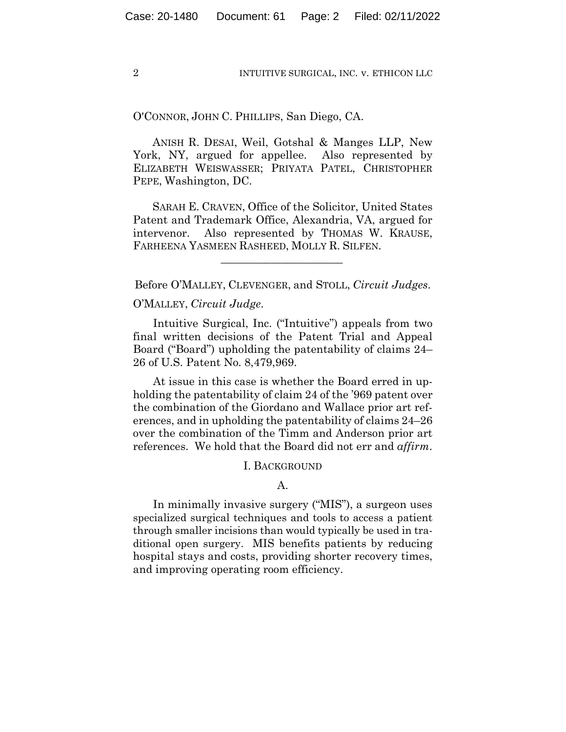O'CONNOR, JOHN C. PHILLIPS, San Diego, CA.

 $\mathcal{L}_\text{max}$  and  $\mathcal{L}_\text{max}$  and  $\mathcal{L}_\text{max}$  and  $\mathcal{L}_\text{max}$ 

 ANISH R. DESAI, Weil, Gotshal & Manges LLP, New York, NY, argued for appellee. Also represented by ELIZABETH WEISWASSER; PRIYATA PATEL, CHRISTOPHER PEPE, Washington, DC.

 SARAH E. CRAVEN, Office of the Solicitor, United States Patent and Trademark Office, Alexandria, VA, argued for intervenor. Also represented by THOMAS W. KRAUSE, FARHEENA YASMEEN RASHEED, MOLLY R. SILFEN.

Before O'MALLEY, CLEVENGER, and STOLL, *Circuit Judges*.

## O'MALLEY, *Circuit Judge*.

Intuitive Surgical, Inc. ("Intuitive") appeals from two final written decisions of the Patent Trial and Appeal Board ("Board") upholding the patentability of claims 24– 26 of U.S. Patent No. 8,479,969.

At issue in this case is whether the Board erred in upholding the patentability of claim 24 of the '969 patent over the combination of the Giordano and Wallace prior art references, and in upholding the patentability of claims 24–26 over the combination of the Timm and Anderson prior art references. We hold that the Board did not err and *affirm*.

#### I. BACKGROUND

#### A.

In minimally invasive surgery ("MIS"), a surgeon uses specialized surgical techniques and tools to access a patient through smaller incisions than would typically be used in traditional open surgery. MIS benefits patients by reducing hospital stays and costs, providing shorter recovery times, and improving operating room efficiency.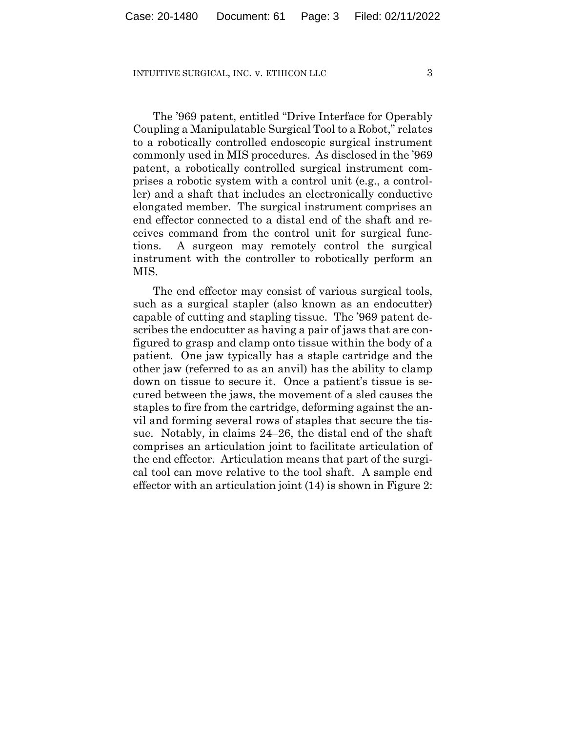The '969 patent, entitled "Drive Interface for Operably Coupling a Manipulatable Surgical Tool to a Robot," relates to a robotically controlled endoscopic surgical instrument commonly used in MIS procedures. As disclosed in the '969 patent, a robotically controlled surgical instrument comprises a robotic system with a control unit (e.g., a controller) and a shaft that includes an electronically conductive elongated member. The surgical instrument comprises an end effector connected to a distal end of the shaft and receives command from the control unit for surgical functions. A surgeon may remotely control the surgical instrument with the controller to robotically perform an MIS.

The end effector may consist of various surgical tools, such as a surgical stapler (also known as an endocutter) capable of cutting and stapling tissue. The '969 patent describes the endocutter as having a pair of jaws that are configured to grasp and clamp onto tissue within the body of a patient. One jaw typically has a staple cartridge and the other jaw (referred to as an anvil) has the ability to clamp down on tissue to secure it. Once a patient's tissue is secured between the jaws, the movement of a sled causes the staples to fire from the cartridge, deforming against the anvil and forming several rows of staples that secure the tissue. Notably, in claims 24–26, the distal end of the shaft comprises an articulation joint to facilitate articulation of the end effector. Articulation means that part of the surgical tool can move relative to the tool shaft. A sample end effector with an articulation joint (14) is shown in Figure 2: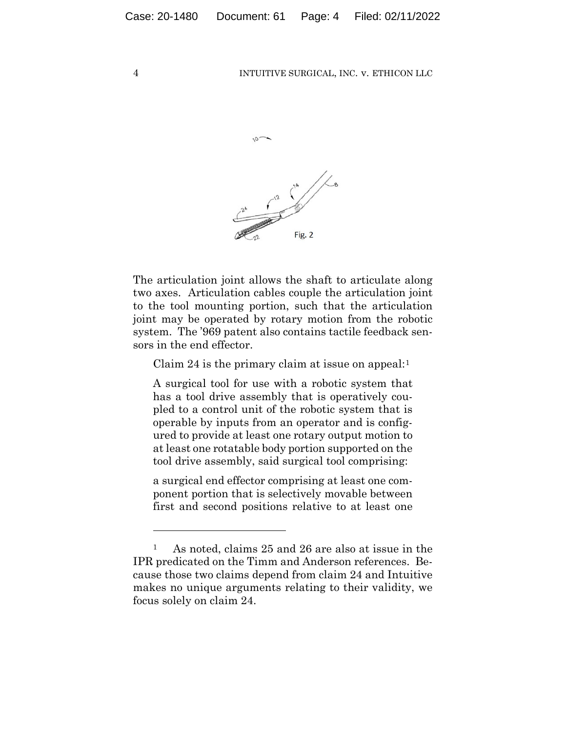

The articulation joint allows the shaft to articulate along two axes. Articulation cables couple the articulation joint to the tool mounting portion, such that the articulation joint may be operated by rotary motion from the robotic system. The '969 patent also contains tactile feedback sensors in the end effector.

Claim 24 is the primary claim at issue on appeal:<sup>1</sup>

A surgical tool for use with a robotic system that has a tool drive assembly that is operatively coupled to a control unit of the robotic system that is operable by inputs from an operator and is configured to provide at least one rotary output motion to at least one rotatable body portion supported on the tool drive assembly, said surgical tool comprising:

a surgical end effector comprising at least one component portion that is selectively movable between first and second positions relative to at least one

<sup>1</sup> As noted, claims 25 and 26 are also at issue in the IPR predicated on the Timm and Anderson references. Because those two claims depend from claim 24 and Intuitive makes no unique arguments relating to their validity, we focus solely on claim 24.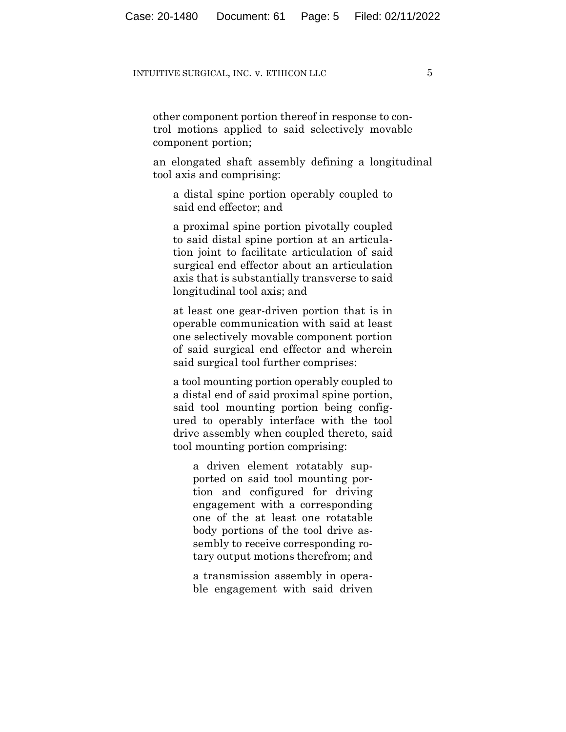other component portion thereof in response to control motions applied to said selectively movable component portion;

an elongated shaft assembly defining a longitudinal tool axis and comprising:

a distal spine portion operably coupled to said end effector; and

a proximal spine portion pivotally coupled to said distal spine portion at an articulation joint to facilitate articulation of said surgical end effector about an articulation axis that is substantially transverse to said longitudinal tool axis; and

at least one gear-driven portion that is in operable communication with said at least one selectively movable component portion of said surgical end effector and wherein said surgical tool further comprises:

a tool mounting portion operably coupled to a distal end of said proximal spine portion, said tool mounting portion being configured to operably interface with the tool drive assembly when coupled thereto, said tool mounting portion comprising:

a driven element rotatably supported on said tool mounting portion and configured for driving engagement with a corresponding one of the at least one rotatable body portions of the tool drive assembly to receive corresponding rotary output motions therefrom; and

a transmission assembly in operable engagement with said driven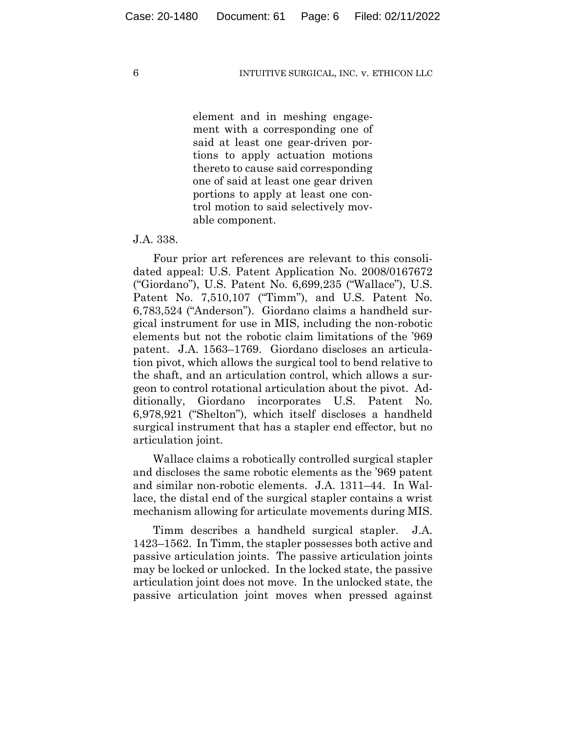element and in meshing engagement with a corresponding one of said at least one gear-driven portions to apply actuation motions thereto to cause said corresponding one of said at least one gear driven portions to apply at least one control motion to said selectively movable component.

## J.A. 338.

Four prior art references are relevant to this consolidated appeal: U.S. Patent Application No. 2008/0167672 ("Giordano"), U.S. Patent No. 6,699,235 ("Wallace"), U.S. Patent No. 7,510,107 ("Timm"), and U.S. Patent No. 6,783,524 ("Anderson"). Giordano claims a handheld surgical instrument for use in MIS, including the non-robotic elements but not the robotic claim limitations of the '969 patent. J.A. 1563–1769. Giordano discloses an articulation pivot, which allows the surgical tool to bend relative to the shaft, and an articulation control, which allows a surgeon to control rotational articulation about the pivot. Additionally, Giordano incorporates U.S. Patent No. 6,978,921 ("Shelton"), which itself discloses a handheld surgical instrument that has a stapler end effector, but no articulation joint.

Wallace claims a robotically controlled surgical stapler and discloses the same robotic elements as the '969 patent and similar non-robotic elements. J.A. 1311–44. In Wallace, the distal end of the surgical stapler contains a wrist mechanism allowing for articulate movements during MIS.

Timm describes a handheld surgical stapler. J.A. 1423–1562. In Timm, the stapler possesses both active and passive articulation joints. The passive articulation joints may be locked or unlocked. In the locked state, the passive articulation joint does not move. In the unlocked state, the passive articulation joint moves when pressed against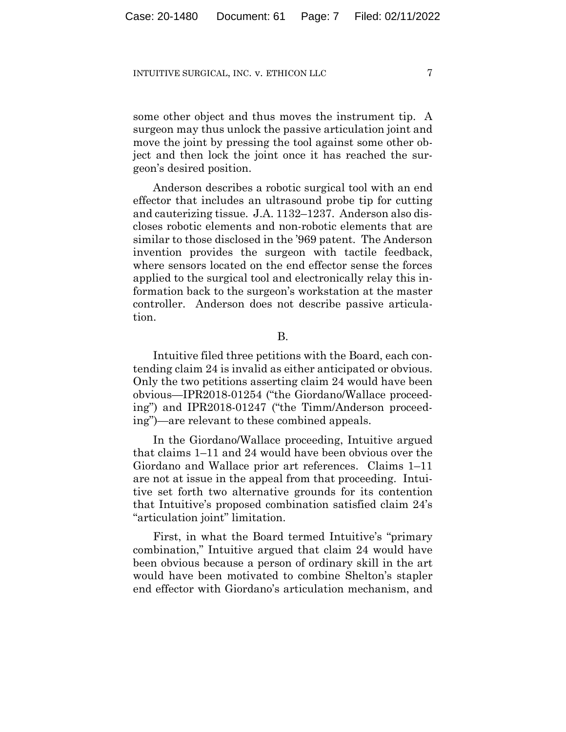some other object and thus moves the instrument tip. A surgeon may thus unlock the passive articulation joint and move the joint by pressing the tool against some other object and then lock the joint once it has reached the surgeon's desired position.

Anderson describes a robotic surgical tool with an end effector that includes an ultrasound probe tip for cutting and cauterizing tissue. J.A. 1132–1237. Anderson also discloses robotic elements and non-robotic elements that are similar to those disclosed in the '969 patent. The Anderson invention provides the surgeon with tactile feedback, where sensors located on the end effector sense the forces applied to the surgical tool and electronically relay this information back to the surgeon's workstation at the master controller. Anderson does not describe passive articulation.

B.

Intuitive filed three petitions with the Board, each contending claim 24 is invalid as either anticipated or obvious. Only the two petitions asserting claim 24 would have been obvious—IPR2018-01254 ("the Giordano/Wallace proceeding") and IPR2018-01247 ("the Timm/Anderson proceeding")—are relevant to these combined appeals.

In the Giordano/Wallace proceeding, Intuitive argued that claims 1–11 and 24 would have been obvious over the Giordano and Wallace prior art references. Claims 1–11 are not at issue in the appeal from that proceeding. Intuitive set forth two alternative grounds for its contention that Intuitive's proposed combination satisfied claim 24's "articulation joint" limitation.

First, in what the Board termed Intuitive's "primary combination," Intuitive argued that claim 24 would have been obvious because a person of ordinary skill in the art would have been motivated to combine Shelton's stapler end effector with Giordano's articulation mechanism, and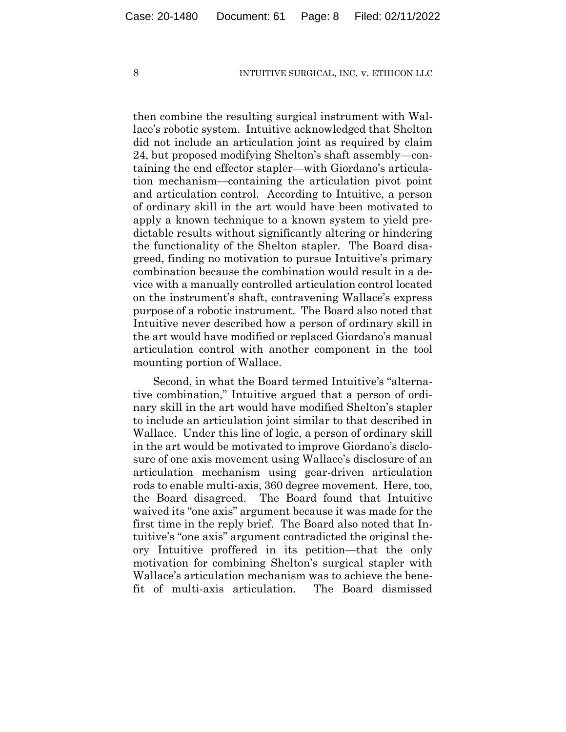then combine the resulting surgical instrument with Wallace's robotic system. Intuitive acknowledged that Shelton did not include an articulation joint as required by claim 24, but proposed modifying Shelton's shaft assembly—containing the end effector stapler—with Giordano's articulation mechanism—containing the articulation pivot point and articulation control. According to Intuitive, a person of ordinary skill in the art would have been motivated to apply a known technique to a known system to yield predictable results without significantly altering or hindering the functionality of the Shelton stapler. The Board disagreed, finding no motivation to pursue Intuitive's primary combination because the combination would result in a device with a manually controlled articulation control located on the instrument's shaft, contravening Wallace's express purpose of a robotic instrument. The Board also noted that Intuitive never described how a person of ordinary skill in the art would have modified or replaced Giordano's manual articulation control with another component in the tool mounting portion of Wallace.

Second, in what the Board termed Intuitive's "alternative combination," Intuitive argued that a person of ordinary skill in the art would have modified Shelton's stapler to include an articulation joint similar to that described in Wallace. Under this line of logic, a person of ordinary skill in the art would be motivated to improve Giordano's disclosure of one axis movement using Wallace's disclosure of an articulation mechanism using gear-driven articulation rods to enable multi-axis, 360 degree movement. Here, too, the Board disagreed. The Board found that Intuitive waived its "one axis" argument because it was made for the first time in the reply brief. The Board also noted that Intuitive's "one axis" argument contradicted the original theory Intuitive proffered in its petition—that the only motivation for combining Shelton's surgical stapler with Wallace's articulation mechanism was to achieve the benefit of multi-axis articulation. The Board dismissed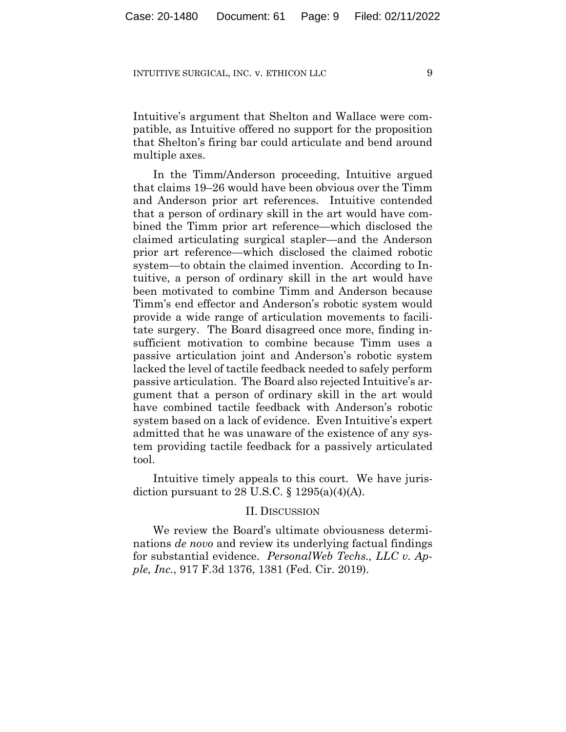Intuitive's argument that Shelton and Wallace were compatible, as Intuitive offered no support for the proposition that Shelton's firing bar could articulate and bend around multiple axes.

In the Timm/Anderson proceeding, Intuitive argued that claims 19–26 would have been obvious over the Timm and Anderson prior art references. Intuitive contended that a person of ordinary skill in the art would have combined the Timm prior art reference—which disclosed the claimed articulating surgical stapler—and the Anderson prior art reference—which disclosed the claimed robotic system—to obtain the claimed invention. According to Intuitive, a person of ordinary skill in the art would have been motivated to combine Timm and Anderson because Timm's end effector and Anderson's robotic system would provide a wide range of articulation movements to facilitate surgery. The Board disagreed once more, finding insufficient motivation to combine because Timm uses a passive articulation joint and Anderson's robotic system lacked the level of tactile feedback needed to safely perform passive articulation. The Board also rejected Intuitive's argument that a person of ordinary skill in the art would have combined tactile feedback with Anderson's robotic system based on a lack of evidence. Even Intuitive's expert admitted that he was unaware of the existence of any system providing tactile feedback for a passively articulated tool.

Intuitive timely appeals to this court. We have jurisdiction pursuant to 28 U.S.C.  $\S 1295(a)(4)(A)$ .

## II. DISCUSSION

We review the Board's ultimate obviousness determinations *de novo* and review its underlying factual findings for substantial evidence. *PersonalWeb Techs., LLC v. Apple, Inc.*, 917 F.3d 1376, 1381 (Fed. Cir. 2019).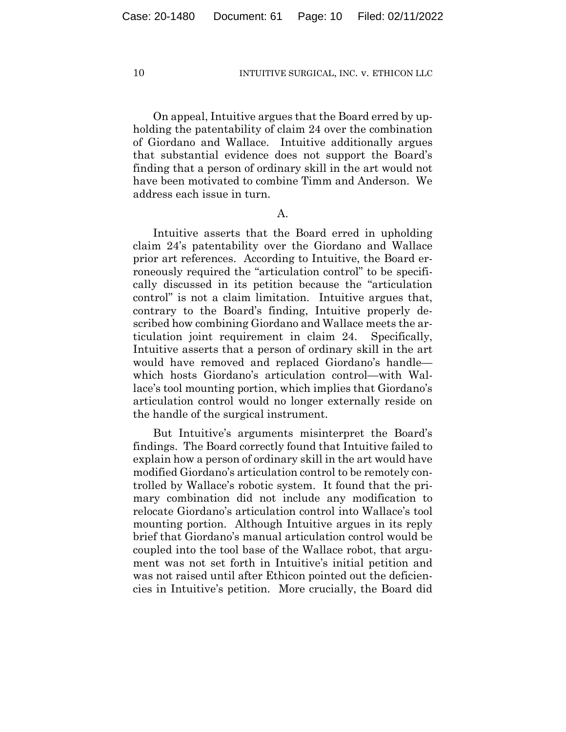On appeal, Intuitive argues that the Board erred by upholding the patentability of claim 24 over the combination of Giordano and Wallace. Intuitive additionally argues that substantial evidence does not support the Board's finding that a person of ordinary skill in the art would not have been motivated to combine Timm and Anderson. We address each issue in turn.

A.

Intuitive asserts that the Board erred in upholding claim 24's patentability over the Giordano and Wallace prior art references. According to Intuitive, the Board erroneously required the "articulation control" to be specifically discussed in its petition because the "articulation control" is not a claim limitation. Intuitive argues that, contrary to the Board's finding, Intuitive properly described how combining Giordano and Wallace meets the articulation joint requirement in claim 24. Specifically, Intuitive asserts that a person of ordinary skill in the art would have removed and replaced Giordano's handle which hosts Giordano's articulation control—with Wallace's tool mounting portion, which implies that Giordano's articulation control would no longer externally reside on the handle of the surgical instrument.

But Intuitive's arguments misinterpret the Board's findings. The Board correctly found that Intuitive failed to explain how a person of ordinary skill in the art would have modified Giordano's articulation control to be remotely controlled by Wallace's robotic system. It found that the primary combination did not include any modification to relocate Giordano's articulation control into Wallace's tool mounting portion. Although Intuitive argues in its reply brief that Giordano's manual articulation control would be coupled into the tool base of the Wallace robot, that argument was not set forth in Intuitive's initial petition and was not raised until after Ethicon pointed out the deficiencies in Intuitive's petition. More crucially, the Board did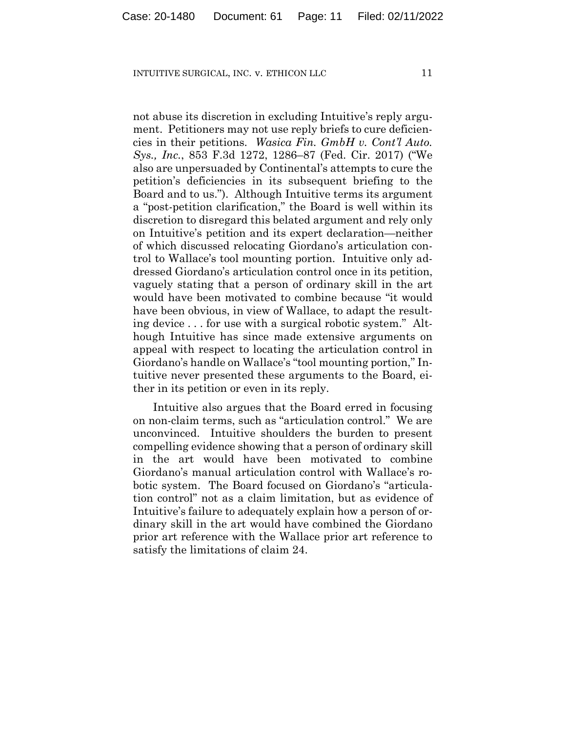not abuse its discretion in excluding Intuitive's reply argument. Petitioners may not use reply briefs to cure deficiencies in their petitions. *Wasica Fin. GmbH v. Cont'l Auto. Sys., Inc.*, 853 F.3d 1272, 1286–87 (Fed. Cir. 2017) ("We also are unpersuaded by Continental's attempts to cure the petition's deficiencies in its subsequent briefing to the Board and to us."). Although Intuitive terms its argument a "post-petition clarification," the Board is well within its discretion to disregard this belated argument and rely only on Intuitive's petition and its expert declaration—neither of which discussed relocating Giordano's articulation control to Wallace's tool mounting portion. Intuitive only addressed Giordano's articulation control once in its petition, vaguely stating that a person of ordinary skill in the art would have been motivated to combine because "it would have been obvious, in view of Wallace, to adapt the resulting device . . . for use with a surgical robotic system." Although Intuitive has since made extensive arguments on appeal with respect to locating the articulation control in Giordano's handle on Wallace's "tool mounting portion," Intuitive never presented these arguments to the Board, either in its petition or even in its reply.

Intuitive also argues that the Board erred in focusing on non-claim terms, such as "articulation control." We are unconvinced. Intuitive shoulders the burden to present compelling evidence showing that a person of ordinary skill in the art would have been motivated to combine Giordano's manual articulation control with Wallace's robotic system. The Board focused on Giordano's "articulation control" not as a claim limitation, but as evidence of Intuitive's failure to adequately explain how a person of ordinary skill in the art would have combined the Giordano prior art reference with the Wallace prior art reference to satisfy the limitations of claim 24.